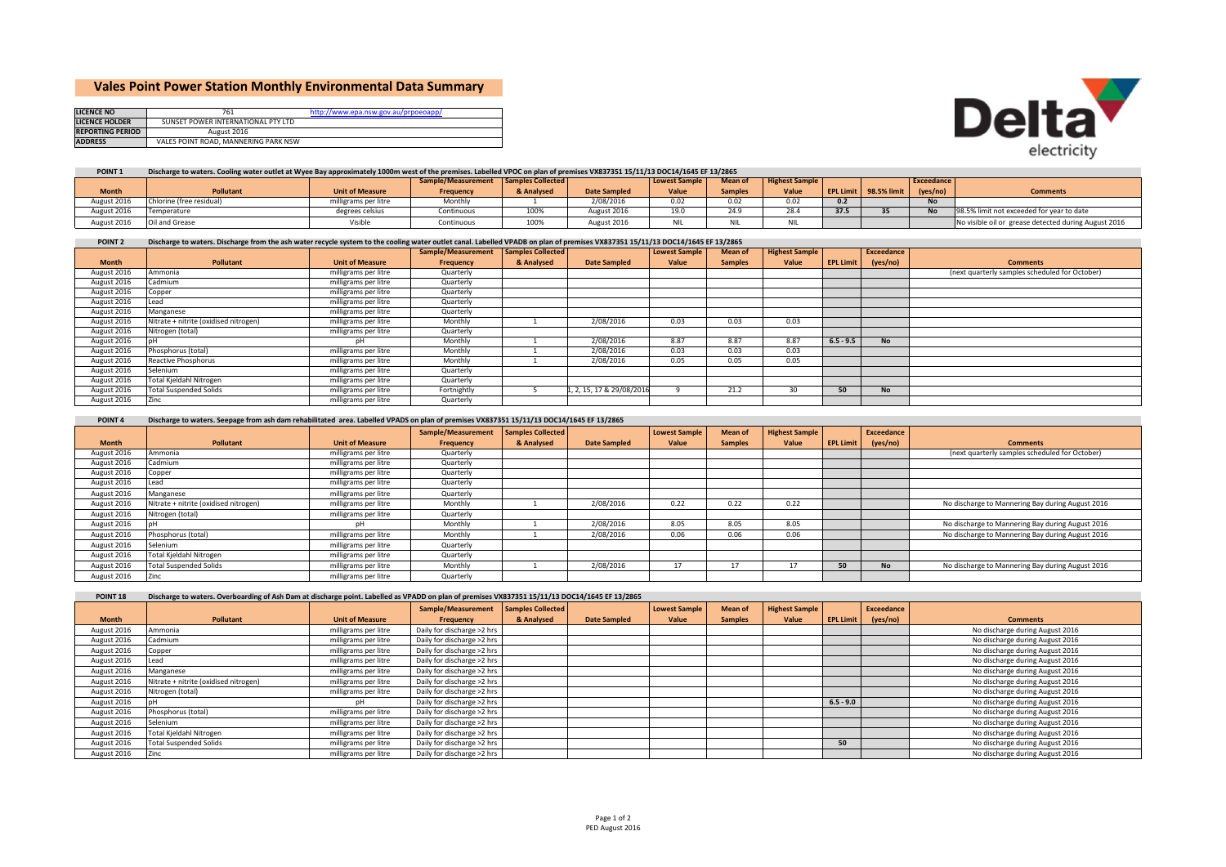# **Vales Point Power Station Monthly Environmental Data Summary**

| <b>LICENCE NO</b>       |                                      | http://www.epa.nsw.gov.au/prpoeoapp/ |
|-------------------------|--------------------------------------|--------------------------------------|
| <b>LICENCE HOLDER</b>   | SUNSET POWER INTERNATIONAL PTY LTD   |                                      |
| <b>REPORTING PERIOD</b> | August 2016                          |                                      |
| <b>ADDRESS</b>          | VALES POINT ROAD, MANNERING PARK NSW |                                      |



### **POINT 1**Discharge to waters. Cooling water outlet at Wyee Bay approximately 1000m west of the premises. Labelled VPOC on plan of premises VX837351 15/11/13 DOC14/1645 EF 13/2865

|              |                          |                        | Sample/Measurement Samples Collected |            |              | <b>Lowest Sample</b> | <b>Mean of</b> | <b>Highest Sample</b> |      |                       | <b>Exceedance</b> |                                                      |
|--------------|--------------------------|------------------------|--------------------------------------|------------|--------------|----------------------|----------------|-----------------------|------|-----------------------|-------------------|------------------------------------------------------|
| <b>Month</b> | <b>Pollutant</b>         | <b>Unit of Measure</b> | Freauency                            | & Analysed | Date Sampled | Value                | <b>Samples</b> | Value                 |      | EPL Limit 98.5% limit | (yes/no)          | <b>Comments</b>                                      |
| August 2016  | Chlorine (free residual) | igrams per litre       | Monthly                              |            | 2/08/2016    | 0.02                 | 0.02           | 0.02                  |      |                       | <b>No</b>         |                                                      |
| August 2016  | Temperature              | degrees celsius        | Continuous                           | 100%       | August 2016  | 19.0                 | 24.9           | 28.4                  | 37.5 |                       |                   | 98.5% limit not exceeded for year to date            |
| August 2016  | Oil and Grease           | Visible                | Continuous                           | 100%       | August 2016  | NIL                  | NIL            | NIL                   |      |                       |                   | No visible oil or grease detected during August 2016 |

#### **POINT 2** Discharge to waters. Discharge from the ash water recycle system to the cooling water outlet canal. Labelled VPADB on plan of premises VX837351 15/11/13 DOC14/1645 EF 13/2865

|              |                                       |                        | Sample/Measurement Samples Collected |            |                           | <b>Lowest Sample</b> | Mean of        | <b>Highest Sample</b> |                  | Exceedance |                                                |
|--------------|---------------------------------------|------------------------|--------------------------------------|------------|---------------------------|----------------------|----------------|-----------------------|------------------|------------|------------------------------------------------|
| <b>Month</b> | Pollutant                             | <b>Unit of Measure</b> | Frequency                            | & Analysed | <b>Date Sampled</b>       | Value                | <b>Samples</b> | Value                 | <b>EPL Limit</b> | (yes/no)   | <b>Comments</b>                                |
| August 2016  | Ammonia                               | milligrams per litre   | Quarterly                            |            |                           |                      |                |                       |                  |            | (next quarterly samples scheduled for October) |
| August 2016  | Cadmium                               | milligrams per litre   | Quarterly                            |            |                           |                      |                |                       |                  |            |                                                |
| August 2016  | Copper                                | milligrams per litre   | Quarterly                            |            |                           |                      |                |                       |                  |            |                                                |
| August 2016  | Lead                                  | milligrams per litre   | Quarterly                            |            |                           |                      |                |                       |                  |            |                                                |
| August 2016  | Manganese                             | milligrams per litre   | Quarterly                            |            |                           |                      |                |                       |                  |            |                                                |
| August 2016  | Nitrate + nitrite (oxidised nitrogen) | milligrams per litre   | Monthly                              |            | 2/08/2016                 | 0.03                 | 0.03           | 0.03                  |                  |            |                                                |
| August 2016  | Nitrogen (total)                      | milligrams per litre   | Quarterly                            |            |                           |                      |                |                       |                  |            |                                                |
| August 2016  |                                       |                        | Monthly                              |            | 2/08/2016                 | 8.87                 | 8.87           | 8.87                  | $6.5 - 9.5$      | <b>No</b>  |                                                |
| August 2016  | Phosphorus (total)                    | milligrams per litre   | Monthly                              |            | 2/08/2016                 | 0.03                 | 0.03           | 0.03                  |                  |            |                                                |
| August 2016  | Reactive Phosphorus                   | milligrams per litre   | Monthly                              |            | 2/08/2016                 | 0.05                 | 0.05           | 0.05                  |                  |            |                                                |
| August 2016  | Selenium                              | milligrams per litre   | Quarterly                            |            |                           |                      |                |                       |                  |            |                                                |
| August 2016  | Total Kjeldahl Nitrogen               | milligrams per litre   | Quarterly                            |            |                           |                      |                |                       |                  |            |                                                |
| August 2016  | <b>Total Suspended Solids</b>         | milligrams per litre   | Fortnightly                          |            | 1, 2, 15, 17 & 29/08/2016 |                      | 21.2           | 30                    | 50               | No.        |                                                |
| August 2016  | Zinc                                  | milligrams per litre   | Quarterly                            |            |                           |                      |                |                       |                  |            |                                                |

### **POINT**<sub>4</sub> Discharge to waters. Seepage from ash dam rehabilitated area. Labelled VPADS on plan of premises VX837351 15/11/13 DOC14/1645 EF 13/2865

|              |                                       |                        | Sample/Measurement | amples Collected |                     | <b>Lowest Sample</b> | Mean of        | <b>Highest Sample</b> |                  | Exceedance |                                                  |
|--------------|---------------------------------------|------------------------|--------------------|------------------|---------------------|----------------------|----------------|-----------------------|------------------|------------|--------------------------------------------------|
| <b>Month</b> | <b>Pollutant</b>                      | <b>Unit of Measure</b> | Frequency          | & Analysed       | <b>Date Sampled</b> | Value                | <b>Samples</b> | Value                 | <b>EPL Limit</b> | (yes/no)   | <b>Comments</b>                                  |
| August 2016  | Ammonia                               | milligrams per litre   | Quarterly          |                  |                     |                      |                |                       |                  |            | (next quarterly samples scheduled for October)   |
| August 2016  | Cadmium                               | milligrams per litre   | Quarterly          |                  |                     |                      |                |                       |                  |            |                                                  |
| August 2016  | Copper                                | milligrams per litre   | Quarterly          |                  |                     |                      |                |                       |                  |            |                                                  |
| August 2016  | ead                                   | milligrams per litre   | Quarterly          |                  |                     |                      |                |                       |                  |            |                                                  |
| August 2016  | Manganese                             | milligrams per litre   | Quarterly          |                  |                     |                      |                |                       |                  |            |                                                  |
| August 2016  | Nitrate + nitrite (oxidised nitrogen) | milligrams per litre   | Monthly            |                  | 2/08/2016           | 0.22                 | 0.22           | 0.22                  |                  |            | No discharge to Mannering Bay during August 2016 |
| August 2016  | Nitrogen (total)                      | milligrams per litre   | Quarterly          |                  |                     |                      |                |                       |                  |            |                                                  |
| August 2016  |                                       |                        | Monthly            |                  | 2/08/2016           | 8.05                 | 8.05           | 8.05                  |                  |            | No discharge to Mannering Bay during August 2016 |
| August 2016  | Phosphorus (total)                    | milligrams per litre   | Monthly            |                  | 2/08/2016           | 0.06                 | 0.06           | 0.06                  |                  |            | No discharge to Mannering Bay during August 2016 |
| August 2016  | Selenium                              | milligrams per litre   | Quarterly          |                  |                     |                      |                |                       |                  |            |                                                  |
| August 2016  | Total Kjeldahl Nitrogen               | milligrams per litre   | Quarterly          |                  |                     |                      |                |                       |                  |            |                                                  |
| August 2016  | <b>Total Suspended Solids</b>         | milligrams per litre   | Monthly            |                  | 2/08/2016           | 17                   | $\mathbf{L}$   | 17                    | 50               | <b>No</b>  | No discharge to Mannering Bay during August 2016 |
| August 2016  | Zinc                                  | milligrams per litre   | Quarterly          |                  |                     |                      |                |                       |                  |            |                                                  |

POINT 18 Discharge to waters. Overboarding of Ash Dam at discharge point. Labelled as VPADD on plan of premises VX837351 15/11/13 DOC14/1645 EF 13/2865

|              |                                       |                        | Sample/Measurement         | <b>Samples Collected</b> |                     | <b>Lowest Sample</b> | Mean of        | <b>Highest Sample</b> |                  | Exceedance |                                 |
|--------------|---------------------------------------|------------------------|----------------------------|--------------------------|---------------------|----------------------|----------------|-----------------------|------------------|------------|---------------------------------|
| <b>Month</b> | <b>Pollutant</b>                      | <b>Unit of Measure</b> | Frequency                  | & Analysed               | <b>Date Sampled</b> | Value                | <b>Samples</b> | Value                 | <b>EPL Limit</b> | (yes/no)   | <b>Comments</b>                 |
| August 2016  | Ammonia                               | milligrams per litre   | Daily for discharge >2 hrs |                          |                     |                      |                |                       |                  |            | No discharge during August 2016 |
| August 2016  | Cadmium                               | milligrams per litre   | Daily for discharge >2 hrs |                          |                     |                      |                |                       |                  |            | No discharge during August 2016 |
| August 2016  | Copper                                | milligrams per litre   | Daily for discharge >2 hrs |                          |                     |                      |                |                       |                  |            | No discharge during August 2016 |
| August 2016  | .ead                                  | milligrams per litre   | Daily for discharge >2 hrs |                          |                     |                      |                |                       |                  |            | No discharge during August 2016 |
| August 2016  | Manganese                             | milligrams per litre   | Daily for discharge >2 hrs |                          |                     |                      |                |                       |                  |            | No discharge during August 2016 |
| August 2016  | Nitrate + nitrite (oxidised nitrogen) | milligrams per litre   | Daily for discharge >2 hrs |                          |                     |                      |                |                       |                  |            | No discharge during August 2016 |
| August 2016  | Nitrogen (total)                      | milligrams per litre   | Daily for discharge >2 hrs |                          |                     |                      |                |                       |                  |            | No discharge during August 2016 |
| August 2016  |                                       | nН                     | Daily for discharge >2 hrs |                          |                     |                      |                |                       | $6.5 - 9.0$      |            | No discharge during August 2016 |
| August 2016  | Phosphorus (total)                    | milligrams per litre   | Daily for discharge >2 hrs |                          |                     |                      |                |                       |                  |            | No discharge during August 2016 |
| August 2016  | Selenium                              | milligrams per litre   | Daily for discharge >2 hrs |                          |                     |                      |                |                       |                  |            | No discharge during August 2016 |
| August 2016  | Total Kjeldahl Nitrogen               | milligrams per litre   | Daily for discharge >2 hrs |                          |                     |                      |                |                       |                  |            | No discharge during August 2016 |
| August 2016  | <b>Total Suspended Solids</b>         | milligrams per litre   | Daily for discharge >2 hrs |                          |                     |                      |                |                       | 50               |            | No discharge during August 2016 |
| August 2016  | Zinc                                  | milligrams per litre   | Daily for discharge >2 hrs |                          |                     |                      |                |                       |                  |            | No discharge during August 2016 |